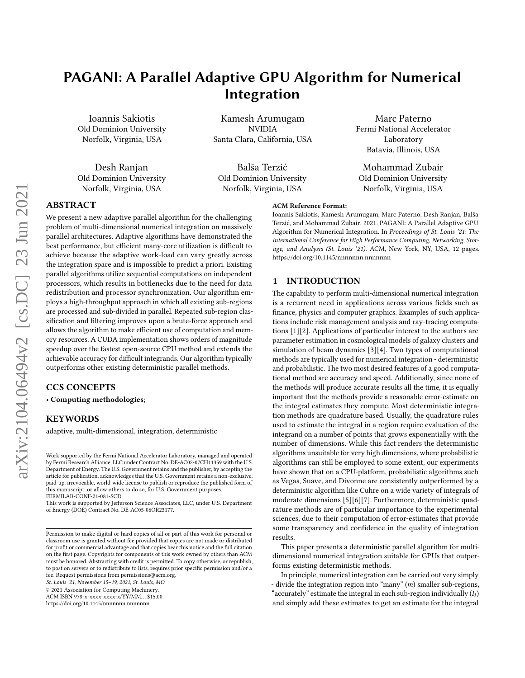# PAGANI: A Parallel Adaptive GPU Algorithm for Numerical Integration

Ioannis Sakiotis Old Dominion University Norfolk, Virginia, USA

Desh Ranjan Old Dominion University Norfolk, Virginia, USA

Kamesh Arumugam NVIDIA Santa Clara, California, USA

Balša Terzić Old Dominion University Norfolk, Virginia, USA

# Marc Paterno Fermi National Accelerator Laboratory Batavia, Illinois, USA

Mohammad Zubair Old Dominion University Norfolk, Virginia, USA

Ioannis Sakiotis, Kamesh Arumugam, Marc Paterno, Desh Ranjan, Balša Terzić, and Mohammad Zubair. 2021. PAGANI: A Parallel Adaptive GPU Algorithm for Numerical Integration. In Proceedings of St. Louis '21: The International Conference for High Performance Computing, Networking, Storage, and Analysis (St. Louis '21). ACM, New York, NY, USA, [12](#page-11-0) pages.

# ABSTRACT

We present a new adaptive parallel algorithm for the challenging problem of multi-dimensional numerical integration on massively parallel architectures. Adaptive algorithms have demonstrated the best performance, but efficient many-core utilization is difficult to achieve because the adaptive work-load can vary greatly across the integration space and is impossible to predict a priori. Existing parallel algorithms utilize sequential computations on independent processors, which results in bottlenecks due to the need for data redistribution and processor synchronization. Our algorithm employs a high-throughput approach in which all existing sub-regions are processed and sub-divided in parallel. Repeated sub-region classification and filtering improves upon a brute-force approach and allows the algorithm to make efficient use of computation and memory resources. A CUDA implementation shows orders of magnitude speedup over the fastest open-source CPU method and extends the achievable accuracy for difficult integrands. Our algorithm typically outperforms other existing deterministic parallel methods.

# CCS CONCEPTS

• Computing methodologies;

## **KEYWORDS**

adaptive, multi-dimensional, integration, deterministic

St. Louis '21, November 15–19, 2021, St. Louis, MO

© 2021 Association for Computing Machinery.

ACM ISBN 978-x-xxxx-xxxx-x/YY/MM. . . \$15.00

<https://doi.org/10.1145/nnnnnnn.nnnnnnn>

# 1 INTRODUCTION

ACM Reference Format:

The capability to perform multi-dimensional numerical integration

<https://doi.org/10.1145/nnnnnnn.nnnnnnn>

is a recurrent need in applications across various fields such as finance, physics and computer graphics. Examples of such applications include risk management analysis and ray-tracing computations [\[1\]](#page-11-1)[\[2\]](#page-11-2). Applications of particular interest to the authors are parameter estimation in cosmological models of galaxy clusters and simulation of beam dynamics [\[3\]](#page-11-3)[\[4\]](#page-11-4). Two types of computational methods are typically used for numerical integration - deterministic and probabilistic. The two most desired features of a good computational method are accuracy and speed. Additionally, since none of the methods will produce accurate results all the time, it is equally important that the methods provide a reasonable error-estimate on the integral estimates they compute. Most deterministic integration methods are quadrature based. Usually, the quadrature rules used to estimate the integral in a region require evaluation of the integrand on a number of points that grows exponentially with the number of dimensions. While this fact renders the deterministic algorithms unsuitable for very high dimensions, where probabilistic algorithms can still be employed to some extent, our experiments have shown that on a CPU-platform, probabilistic algorithms such as Vegas, Suave, and Divonne are consistently outperformed by a deterministic algorithm like Cuhre on a wide variety of integrals of moderate dimensions [\[5\]](#page-11-5)[\[6\]](#page-11-6)[\[7\]](#page-11-7). Furthermore, deterministic quadrature methods are of particular importance to the experimental sciences, due to their computation of error-estimates that provide some transparency and confidence in the quality of integration results.

This paper presents a deterministic parallel algorithm for multidimensional numerical integration suitable for GPUs that outperforms existing deterministic methods.

In principle, numerical integration can be carried out very simply - divide the integration region into "many"  $(m)$  smaller sub-regions, "accurately" estimate the integral in each sub-region individually  $(I_i)$ and simply add these estimates to get an estimate for the integral

Work supported by the Fermi National Accelerator Laboratory, managed and operated by Fermi Research Alliance, LLC under Contract No. DE-AC02-07CH11359 with the U.S. Department of Energy. The U.S. Government retains and the publisher, by accepting the article for publication, acknowledges that the U.S. Government retains a non-exclusive, paid-up, irrevocable, world-wide license to publish or reproduce the published form of this manuscript, or allow others to do so, for U.S. Government purposes. FERMILAB-CONF-21-081-SCD.

This work is supported by Jefferson Science Associates, LLC, under U.S. Department of Energy (DOE) Contract No. DE-AC05-06OR23177.

Permission to make digital or hard copies of all or part of this work for personal or classroom use is granted without fee provided that copies are not made or distributed for profit or commercial advantage and that copies bear this notice and the full citation on the first page. Copyrights for components of this work owned by others than ACM must be honored. Abstracting with credit is permitted. To copy otherwise, or republish, to post on servers or to redistribute to lists, requires prior specific permission and/or a fee. Request permissions from permissions@acm.org.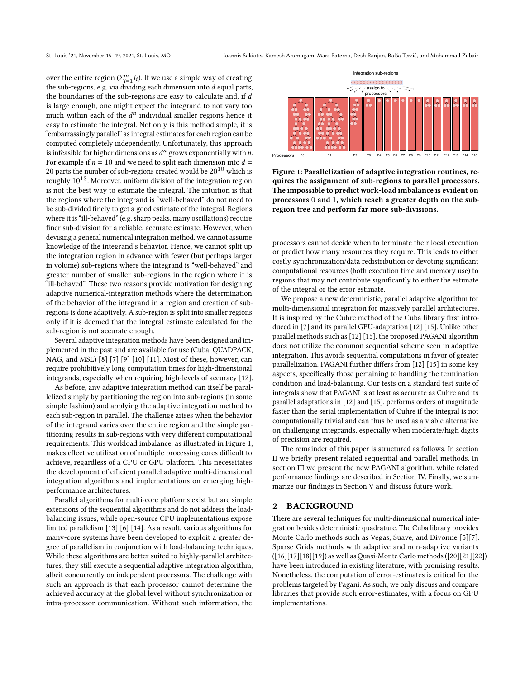over the entire region ( $\Sigma_{i=1}^{m} I_i$ ). If we use a simple way of creating the sub-regions, e.g. via dividing each dimension into  $d$  equal parts, the boundaries of the sub-regions are easy to calculate and, if  $d$ is large enough, one might expect the integrand to not vary too much within each of the  $d^n$  individual smaller regions hence it easy to estimate the integral. Not only is this method simple, it is "embarrassingly parallel" as integral estimates for each region can be computed completely independently. Unfortunately, this approach is infeasible for higher dimensions as  $d^n$  grows exponentially with n. For example if  $n = 10$  and we need to split each dimension into  $d =$ 20 parts the number of sub-regions created would be  $20^{10}$  which is roughly  $10^{13}$ . Moreover, uniform division of the integration region is not the best way to estimate the integral. The intuition is that the regions where the integrand is "well-behaved" do not need to be sub-divided finely to get a good estimate of the integral. Regions where it is "ill-behaved" (e.g. sharp peaks, many oscillations) require finer sub-division for a reliable, accurate estimate. However, when devising a general numerical integration method, we cannot assume knowledge of the integrand's behavior. Hence, we cannot split up the integration region in advance with fewer (but perhaps larger in volume) sub-regions where the integrand is "well-behaved" and greater number of smaller sub-regions in the region where it is "ill-behaved". These two reasons provide motivation for designing adaptive numerical-integration methods where the determination of the behavior of the integrand in a region and creation of subregions is done adaptively. A sub-region is split into smaller regions only if it is deemed that the integral estimate calculated for the sub-region is not accurate enough.

Several adaptive integration methods have been designed and implemented in the past and are available for use (Cuba, QUADPACK, NAG, and MSL) [\[8\]](#page-11-8) [\[7\]](#page-11-7) [\[9\]](#page-11-9) [\[10\]](#page-11-10) [\[11\]](#page-11-11). Most of these, however, can require prohibitively long computation times for high-dimensional integrands, especially when requiring high-levels of accuracy [\[12\]](#page-11-12).

As before, any adaptive integration method can itself be parallelized simply by partitioning the region into sub-regions (in some simple fashion) and applying the adaptive integration method to each sub-region in parallel. The challenge arises when the behavior of the integrand varies over the entire region and the simple partitioning results in sub-regions with very different computational requirements. This workload imbalance, as illustrated in Figure [1,](#page-1-0) makes effective utilization of multiple processing cores difficult to achieve, regardless of a CPU or GPU platform. This necessitates the development of efficient parallel adaptive multi-dimensional integration algorithms and implementations on emerging highperformance architectures.

Parallel algorithms for multi-core platforms exist but are simple extensions of the sequential algorithms and do not address the loadbalancing issues, while open-source CPU implementations expose limited parallelism [\[13\]](#page-11-13) [\[6\]](#page-11-6) [\[14\]](#page-11-14). As a result, various algorithms for many-core systems have been developed to exploit a greater degree of parallelism in conjunction with load-balancing techniques. While these algorithms are better suited to highly-parallel architectures, they still execute a sequential adaptive integration algorithm, albeit concurrently on independent processors. The challenge with such an approach is that each processor cannot determine the achieved accuracy at the global level without synchronization or intra-processor communication. Without such information, the

<span id="page-1-0"></span>

Figure 1: Parallelization of adaptive integration routines, requires the assignment of sub-regions to parallel processors. The impossible to predict work-load imbalance is evident on processors 0 and 1, which reach a greater depth on the subregion tree and perform far more sub-divisions.

processors cannot decide when to terminate their local execution or predict how many resources they require. This leads to either costly synchronization/data redistribution or devoting significant computational resources (both execution time and memory use) to regions that may not contribute significantly to either the estimate of the integral or the error estimate.

We propose a new deterministic, parallel adaptive algorithm for multi-dimensional integration for massively parallel architectures. It is inspired by the Cuhre method of the Cuba library first introduced in [\[7\]](#page-11-7) and its parallel GPU-adaptation [\[12\]](#page-11-12) [\[15\]](#page-11-15). Unlike other parallel methods such as [\[12\]](#page-11-12) [\[15\]](#page-11-15), the proposed PAGANI algorithm does not utilize the common sequential scheme seen in adaptive integration. This avoids sequential computations in favor of greater parallelization. PAGANI further differs from [\[12\]](#page-11-12) [\[15\]](#page-11-15) in some key aspects, specifically those pertaining to handling the termination condition and load-balancing. Our tests on a standard test suite of integrals show that PAGANI is at least as accurate as Cuhre and its parallel adaptations in [\[12\]](#page-11-12) and [\[15\]](#page-11-15), performs orders of magnitude faster than the serial implementation of Cuhre if the integral is not computationally trivial and can thus be used as a viable alternative on challenging integrands, especially when moderate/high digits of precision are required.

The remainder of this paper is structured as follows. In section II we briefly present related sequential and parallel methods. In section III we present the new PAGANI algorithm, while related performance findings are described in Section IV. Finally, we summarize our findings in Section V and discuss future work.

#### 2 BACKGROUND

There are several techniques for multi-dimensional numerical integration besides deterministic quadrature. The Cuba library provides Monte Carlo methods such as Vegas, Suave, and Divonne [\[5\]](#page-11-5)[\[7\]](#page-11-7). Sparse Grids methods with adaptive and non-adaptive variants ([\[16\]](#page-11-16)[\[17\]](#page-11-17)[\[18\]](#page-11-18)[\[19\]](#page-11-19)) as well as Quasi-Monte Carlo methods ([\[20\]](#page-11-20)[\[21\]](#page-11-21)[\[22\]](#page-11-22)) have been introduced in existing literature, with promising results. Nonetheless, the computation of error-estimates is critical for the problems targeted by Pagani. As such, we only discuss and compare libraries that provide such error-estimates, with a focus on GPU implementations.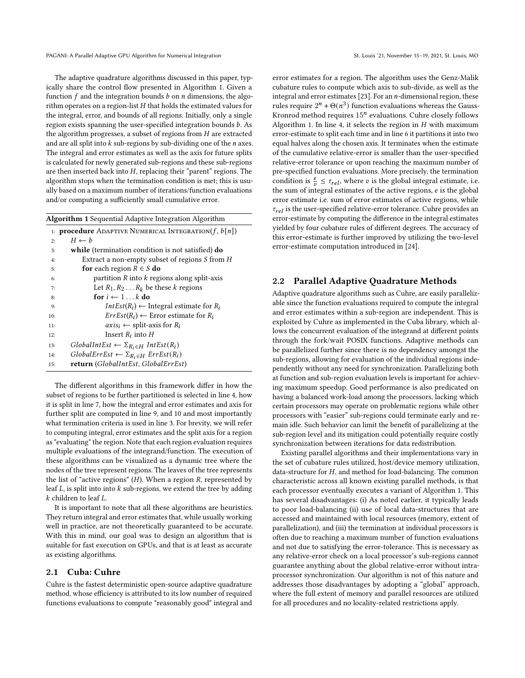PAGANI: A Parallel Adaptive GPU Algorithm for Numerical Integration St. Louis '21, November 15-19, 2021, St. Louis, MO

The adaptive quadrature algorithms discussed in this paper, typically share the control flow presented in Algorithm [1.](#page-2-0) Given a function  $f$  and the integration bounds  $b$  on  $n$  dimensions, the algorithm operates on a region-list  $H$  that holds the estimated values for the integral, error, and bounds of all regions. Initially, only a single region exists spanning the user-specified integration bounds  $b$ . As the algorithm progresses, a subset of regions from  $H$  are extracted and are all split into  $k$  sub-regions by sub-dividing one of the  $n$  axes. The integral and error estimates as well as the axis for future splits is calculated for newly generated sub-regions and these sub-regions are then inserted back into  $H$ , replacing their "parent" regions. The algorithm stops when the termination condition is met; this is usually based on a maximum number of iterations/function evaluations and/or computing a sufficiently small cumulative error.

<span id="page-2-0"></span>

| <b>Algorithm 1</b> Sequential Adaptive Integration Algorithm |                                                                 |  |  |  |
|--------------------------------------------------------------|-----------------------------------------------------------------|--|--|--|
|                                                              | 1: <b>procedure</b> ADAPTIVE NUMERICAL INTEGRATION( $f, b[n]$ ) |  |  |  |
| 2:                                                           | $H \leftarrow b$                                                |  |  |  |
| 3:                                                           | while (termination condition is not satisfied) do               |  |  |  |
| 4:                                                           | Extract a non-empty subset of regions $S$ from $H$              |  |  |  |
| 5:                                                           | <b>for</b> each region $R \in S$ <b>do</b>                      |  |  |  |
| 6:                                                           | partition $R$ into $k$ regions along split-axis                 |  |  |  |
| 7:                                                           | Let $R_1, R_2, \ldots R_k$ be these k regions                   |  |  |  |
| 8:                                                           | for $i \leftarrow 1k$ do                                        |  |  |  |
| 9:                                                           | $IntEst(R_i) \leftarrow$ Integral estimate for $R_i$            |  |  |  |
| 10:                                                          | $ErrEst(R_i) \leftarrow$ Error estimate for $R_i$               |  |  |  |
| 11:                                                          | $axis_i \leftarrow split-axis$ for $R_i$                        |  |  |  |
| 12:                                                          | Insert $R_i$ into $H$                                           |  |  |  |
| 13:                                                          | $GlobalIntEst \leftarrow \Sigma_{R_i \in H} IntEst(R_i)$        |  |  |  |
| 14:                                                          | $GlobalErrEst \leftarrow \Sigma_{R_i \in H} ErrEst(R_i)$        |  |  |  |
| 15:                                                          | return (GlobalIntEst, GlobalErrEst)                             |  |  |  |

The different algorithms in this framework differ in how the subset of regions to be further partitioned is selected in line 4, how it is split in line 7, how the integral and error estimates and axis for further split are computed in line 9, and 10 and most importantly what termination criteria is used in line 3. For brevity, we will refer to computing integral, error estimates and the split axis for a region as "evaluating" the region. Note that each region evaluation requires multiple evaluations of the integrand/function. The execution of these algorithms can be visualized as a dynamic tree where the nodes of the tree represent regions. The leaves of the tree represents the list of "active regions"  $(H)$ . When a region  $R$ , represented by leaf  $L$ , is split into into  $k$  sub-regions, we extend the tree by adding  $k$  children to leaf  $L$ .

It is important to note that all these algorithms are heuristics. They return integral and error estimates that, while usually working well in practice, are not theoretically guaranteed to be accurate. With this in mind, our goal was to design an algorithm that is suitable for fast execution on GPUs, and that is at least as accurate as existing algorithms.

#### 2.1 Cuba: Cuhre

Cuhre is the fastest deterministic open-source adaptive quadrature method, whose efficiency is attributed to its low number of required functions evaluations to compute "reasonably good" integral and error estimates for a region. The algorithm uses the Genz-Malik cubature rules to compute which axis to sub-divide, as well as the integral and error estimates [\[23\]](#page-11-23). For an  $n$ -dimensional region, these rules require  $2^n + \Theta(n^3)$  function evaluations whereas the Gauss-Kronrod method requires  $15^n$  evaluations. Cuhre closely follows Algorithm [1.](#page-2-0) In line 4, it selects the region in  $H$  with maximum error-estimate to split each time and in line 6 it partitions it into two equal halves along the chosen axis. It terminates when the estimate of the cumulative relative-error is smaller than the user-specified relative-error tolerance or upon reaching the maximum number of pre-specified function evaluations. More precisely, the termination condition is  $\frac{e}{v} \leq \tau_{rel}$ , where v is the global integral estimate, i.e. the sum of integral estimates of the active regions,  $e$  is the global error estimate i.e. sum of error estimates of active regions, while  $\tau_{rel}$  is the user-specified relative-error tolerance. Cuhre provides an error-estimate by computing the difference in the integral estimates yielded by four cubature rules of different degrees. The accuracy of this error-estimate is further improved by utilizing the two-level error-estimate computation introduced in [\[24\]](#page-11-24).

#### 2.2 Parallel Adaptive Quadrature Methods

Adaptive quadrature algorithms such as Cuhre, are easily parallelizable since the function evaluations required to compute the integral and error estimates within a sub-region are independent. This is exploited by Cuhre as implemented in the Cuba library, which allows the concurrent evaluation of the integrand at different points through the fork/wait POSIX functions. Adaptive methods can be parallelized further since there is no dependency amongst the sub-regions, allowing for evaluation of the individual regions independently without any need for synchronization. Parallelizing both at function and sub-region evaluation levels is important for achieving maximum speedup. Good performance is also predicated on having a balanced work-load among the processors, lacking which certain processors may operate on problematic regions while other processors with "easier" sub-regions could terminate early and remain idle. Such behavior can limit the benefit of parallelizing at the sub-region level and its mitigation could potentially require costly synchronization between iterations for data redistribution.

Existing parallel algorithms and their implementations vary in the set of cubature rules utilized, host/device memory utilization, data-structure for  $H$ , and method for load-balancing. The common characteristic across all known existing parallel methods, is that each processor eventually executes a variant of Algorithm [1.](#page-2-0) This has several disadvantages: (i) As noted earlier, it typically leads to poor load-balancing (ii) use of local data-structures that are accessed and maintained with local resources (memory, extent of parallelization), and (iii) the termination at individual processors is often due to reaching a maximum number of function evaluations and not due to satisfying the error-tolerance. This is necessary as any relative-error check on a local processor's sub-regions cannot guarantee anything about the global relative-error without intraprocessor synchronization. Our algorithm is not of this nature and addresses those disadvantages by adopting a "global" approach, where the full extent of memory and parallel resources are utilized for all procedures and no locality-related restrictions apply.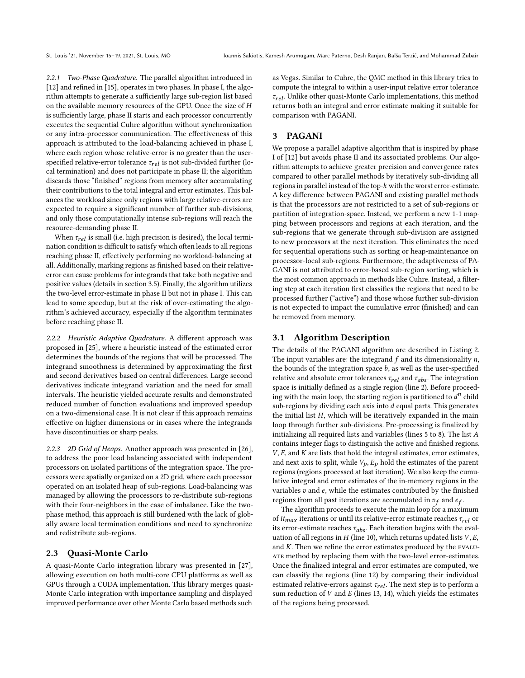2.2.1 Two-Phase Quadrature. The parallel algorithm introduced in [\[12\]](#page-11-12) and refined in [\[15\]](#page-11-15), operates in two phases. In phase I, the algorithm attempts to generate a sufficiently large sub-region list based on the available memory resources of the GPU. Once the size of is sufficiently large, phase II starts and each processor concurrently executes the sequential Cuhre algorithm without synchronization or any intra-processor communication. The effectiveness of this approach is attributed to the load-balancing achieved in phase I, where each region whose relative-error is no greater than the userspecified relative-error tolerance  $\tau_{rel}$  is not sub-divided further (local termination) and does not participate in phase II; the algorithm discards those "finished" regions from memory after accumulating their contributions to the total integral and error estimates. This balances the workload since only regions with large relative-errors are expected to require a significant number of further sub-divisions, and only those computationally intense sub-regions will reach the resource-demanding phase II.

When  $\tau_{rel}$  is small (i.e. high precision is desired), the local termination condition is difficult to satisfy which often leads to all regions reaching phase II, effectively performing no workload-balancing at all. Additionally, marking regions as finished based on their relativeerror can cause problems for integrands that take both negative and positive values (details in section 3.5). Finally, the algorithm utilizes the two-level error-estimate in phase II but not in phase I. This can lead to some speedup, but at the risk of over-estimating the algorithm's achieved accuracy, especially if the algorithm terminates before reaching phase II.

2.2.2 Heuristic Adaptive Quadrature. A different approach was proposed in [\[25\]](#page-11-25), where a heuristic instead of the estimated error determines the bounds of the regions that will be processed. The integrand smoothness is determined by approximating the first and second derivatives based on central differences. Large second derivatives indicate integrand variation and the need for small intervals. The heuristic yielded accurate results and demonstrated reduced number of function evaluations and improved speedup on a two-dimensional case. It is not clear if this approach remains effective on higher dimensions or in cases where the integrands have discontinuities or sharp peaks.

2.2.3 2D Grid of Heaps. Another approach was presented in [\[26\]](#page-11-26), to address the poor load balancing associated with independent processors on isolated partitions of the integration space. The processors were spatially organized on a 2D grid, where each processor operated on an isolated heap of sub-regions. Load-balancing was managed by allowing the processors to re-distribute sub-regions with their four-neighbors in the case of imbalance. Like the twophase method, this approach is still burdened with the lack of globally aware local termination conditions and need to synchronize and redistribute sub-regions.

#### 2.3 Quasi-Monte Carlo

A quasi-Monte Carlo integration library was presented in [\[27\]](#page-11-27), allowing execution on both multi-core CPU platforms as well as GPUs through a CUDA implementation. This library merges quasi-Monte Carlo integration with importance sampling and displayed improved performance over other Monte Carlo based methods such

as Vegas. Similar to Cuhre, the QMC method in this library tries to compute the integral to within a user-input relative error tolerance  $\tau_{rel}$ . Unlike other quasi-Monte Carlo implementations, this method returns both an integral and error estimate making it suitable for comparison with PAGANI.

# 3 PAGANI

We propose a parallel adaptive algorithm that is inspired by phase I of [\[12\]](#page-11-12) but avoids phase II and its associated problems. Our algorithm attempts to achieve greater precision and convergence rates compared to other parallel methods by iteratively sub-dividing all regions in parallel instead of the top- $k$  with the worst error-estimate. A key difference between PAGANI and existing parallel methods is that the processors are not restricted to a set of sub-regions or partition of integration-space. Instead, we perform a new 1-1 mapping between processors and regions at each iteration, and the sub-regions that we generate through sub-division are assigned to new processors at the next iteration. This eliminates the need for sequential operations such as sorting or heap-maintenance on processor-local sub-regions. Furthermore, the adaptiveness of PA-GANI is not attributed to error-based sub-region sorting, which is the most common approach in methods like Cuhre. Instead, a filtering step at each iteration first classifies the regions that need to be processed further ("active") and those whose further sub-division is not expected to impact the cumulative error (finished) and can be removed from memory.

#### 3.1 Algorithm Description

The details of the PAGANI algorithm are described in Listing [2.](#page-4-0) The input variables are: the integrand  $f$  and its dimensionality  $n$ , the bounds of the integration space  $b$ , as well as the user-specified relative and absolute error tolerances  $\tau_{rel}$  and  $\tau_{abs}$ . The integration space is initially defined as a single region (line 2). Before proceeding with the main loop, the starting region is partitioned to  $d^n$  child sub-regions by dividing each axis into  $d$  equal parts. This generates the initial list  $H$ , which will be iteratively expanded in the main loop through further sub-divisions. Pre-processing is finalized by initializing all required lists and variables (lines  $5$  to  $8$ ). The list  $A$ contains integer flags to distinguish the active and finished regions.  $V, E$ , and  $K$  are lists that hold the integral estimates, error estimates, and next axis to split, while  $V_p$ ,  $E_p$  hold the estimates of the parent regions (regions processed at last iteration). We also keep the cumulative integral and error estimates of the in-memory regions in the variables  $v$  and  $e$ , while the estimates contributed by the finished regions from all past iterations are accumulated in  $v_f$  and  $e_f$ .

The algorithm proceeds to execute the main loop for a maximum of  $it_{max}$  iterations or until its relative-error estimate reaches  $\tau_{rel}$  or its error-estimate reaches  $\tau_{abs}$ . Each iteration begins with the evaluation of all regions in  $H$  (line 10), which returns updated lists  $V, E$ , and  $K$ . Then we refine the error estimates produced by the EVALU-ATE method by replacing them with the two-level error-estimates. Once the finalized integral and error estimates are computed, we can classify the regions (line 12) by comparing their individual estimated relative-errors against  $\tau_{rel}$ . The next step is to perform a sum reduction of  $V$  and  $E$  (lines 13, 14), which yields the estimates of the regions being processed.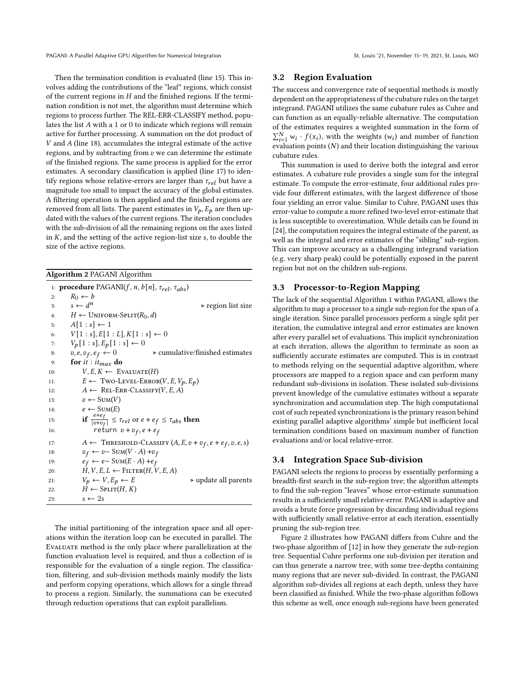PAGANI: A Parallel Adaptive GPU Algorithm for Numerical Integration St. Louis '21, November 15-19, 2021, St. Louis, MO

Then the termination condition is evaluated (line 15). This involves adding the contributions of the "leaf" regions, which consist of the current regions in  $H$  and the finished regions. If the termination condition is not met, the algorithm must determine which regions to process further. The REL-ERR-CLASSIFY method, populates the list  $A$  with a 1 or 0 to indicate which regions will remain active for further processing. A summation on the dot product of  $V$  and  $A$  (line 18), accumulates the integral estimate of the active regions, and by subtracting from  $v$  we can determine the estimate of the finished regions. The same process is applied for the error estimates. A secondary classification is applied (line 17) to identify regions whose relative-errors are larger than  $\tau_{rel}$  but have a magnitude too small to impact the accuracy of the global estimates. A filtering operation is then applied and the finished regions are removed from all lists. The parent estimates in  $V_p$ ,  $E_p$  are then updated with the values of the current regions. The iteration concludes with the sub-division of all the remaining regions on the axes listed in  $K$ , and the setting of the active region-list size  $s$ , to double the size of the active regions.

<span id="page-4-0"></span>

| Algorithm 2 PAGANI Algorithm |  |  |
|------------------------------|--|--|
|                              |  |  |

|     | 1: <b>procedure</b> PAGANI( <i>f, n, b</i> [ <i>n</i> ] <i>,</i> $\tau_{rel}$ <i>, <math>\tau_{abs}</math></i> ) |
|-----|------------------------------------------------------------------------------------------------------------------|
| 2:  | $R_0 \leftarrow b$                                                                                               |
| 3:  | $s \leftarrow d^n$<br>$\triangleright$ region list size                                                          |
| 4:  | $H \leftarrow$ Uniform-Split $(R_0, d)$                                                                          |
| 5:  | $A[1:s] \leftarrow 1$                                                                                            |
| 6:  | $V[1:s], E[1:L], K[1:s] \leftarrow 0$                                                                            |
| 7:  | $V_p[1:s], E_p[1:s] \leftarrow 0$                                                                                |
| 8:  | $\triangleright$ cumulative/finished estimates<br>$v, e, v_f, e_f \leftarrow 0$                                  |
| 9:  | for it: $it_{max}$ do                                                                                            |
| 10: | $V, E, K \leftarrow$ EVALUATE(H)                                                                                 |
| 11: | $E \leftarrow \text{Two-LEVEL-ERROR}(V, E, V_p, E_p)$                                                            |
| 12: | $A \leftarrow$ REL-ERR-CLASSIFY(V, E, A)                                                                         |
| 13: | $v \leftarrow \text{Sum}(V)$                                                                                     |
| 14: | $e \leftarrow \text{Sum}(E)$                                                                                     |
| 15: | if $\frac{e+e_f}{ v+v_f } \leq \tau_{rel}$ or $e+e_f \leq \tau_{abs}$ then                                       |
| 16: | return $v + v_f$ , $e + e_f$                                                                                     |
| 17: | $A \leftarrow$ THRESHOLD-CLASSIFY $(A, E, v + v_f, e + e_f, v, e, s)$                                            |
| 18: | $v_f \leftarrow v - \text{Sum}(V \cdot A) + v_f$                                                                 |
| 19: | $e_f \leftarrow e - \text{Sum}(E \cdot A) + e_f$                                                                 |
| 20: | $H, V, E, L \leftarrow$ FILTER $(H, V, E, A)$                                                                    |
| 21: | $V_p \leftarrow V, E_p \leftarrow E$<br>$\triangleright$ update all parents                                      |
| 22: | $H \leftarrow$ Split $(H, K)$                                                                                    |
| 23: | $s \leftarrow 2s$                                                                                                |

The initial partitioning of the integration space and all operations within the iteration loop can be executed in parallel. The Evaluate method is the only place where parallelization at the function evaluation level is required, and thus a collection of is responsible for the evaluation of a single region. The classification, filtering, and sub-division methods mainly modify the lists and perform copying operations, which allows for a single thread to process a region. Similarly, the summations can be executed through reduction operations that can exploit parallelism.

#### 3.2 Region Evaluation

The success and convergence rate of sequential methods is mostly dependent on the appropriateness of the cubature rules on the target integrand. PAGANI utilizes the same cubature rules as Cuhre and can function as an equally-reliable alternative. The computation of the estimates requires a weighted summation in the form of  $\sum_{i=1}^{N} w_i \cdot f(x_i)$ , with the weights  $(w_i)$  and number of function evaluation points  $(N)$  and their location distinguishing the various cubature rules.

This summation is used to derive both the integral and error estimates. A cubature rule provides a single sum for the integral estimate. To compute the error-estimate, four additional rules provide four different estimates, with the largest difference of those four yielding an error value. Similar to Cuhre, PAGANI uses this error-value to compute a more refined two-level error-estimate that is less susceptible to overestimation. While details can be found in [\[24\]](#page-11-24), the computation requires the integral estimate of the parent, as well as the integral and error estimates of the "sibling" sub-region. This can improve accuracy as a challenging integrand variation (e.g. very sharp peak) could be potentially exposed in the parent region but not on the children sub-regions.

# 3.3 Processor-to-Region Mapping

The lack of the sequential Algorithm [1](#page-2-0) within PAGANI, allows the algorithm to map a processor to a single sub-region for the span of a single iteration. Since parallel processors perform a single split per iteration, the cumulative integral and error estimates are known after every parallel set of evaluations. This implicit synchronization at each iteration, allows the algorithm to terminate as soon as sufficiently accurate estimates are computed. This is in contrast to methods relying on the sequential adaptive algorithm, where processors are mapped to a region space and can perform many redundant sub-divisions in isolation. These isolated sub-divisions prevent knowledge of the cumulative estimates without a separate synchronization and accumulation step. The high computational cost of such repeated synchronizations is the primary reason behind existing parallel adaptive algorithms' simple but inefficient local termination conditions based on maximum number of function evaluations and/or local relative-error.

#### 3.4 Integration Space Sub-division

PAGANI selects the regions to process by essentially performing a breadth-first search in the sub-region tree; the algorithm attempts to find the sub-region "leaves" whose error-estimate summation results in a sufficiently small relative-error. PAGANI is adaptive and avoids a brute force progression by discarding individual regions with sufficiently small relative-error at each iteration, essentially pruning the sub-region tree.

Figure [2](#page-5-0) illustrates how PAGANI differs from Cuhre and the two-phase algorithm of [\[12\]](#page-11-12) in how they generate the sub-region tree. Sequential Cuhre performs one sub-division per iteration and can thus generate a narrow tree, with some tree-depths containing many regions that are never sub-divided. In contrast, the PAGANI algorithm sub-divides all regions at each depth, unless they have been classified as finished. While the two-phase algorithm follows this scheme as well, once enough sub-regions have been generated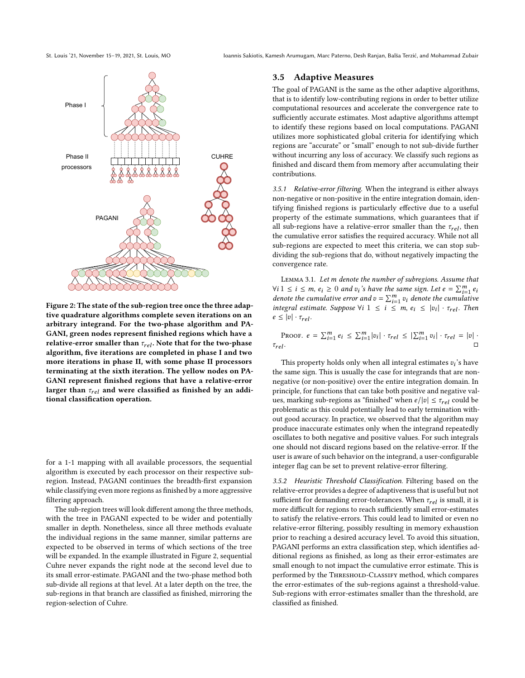St. Louis '21, November 15–19, 2021, St. Louis, MO Ioannis Sakiotis, Kamesh Arumugam, Marc Paterno, Desh Ranjan, Balša Terzić, and Mohammad Zubair

<span id="page-5-0"></span>

Figure 2: The state of the sub-region tree once the three adaptive quadrature algorithms complete seven iterations on an arbitrary integrand. For the two-phase algorithm and PA-GANI, green nodes represent finished regions which have a relative-error smaller than  $\tau_{rel}$ . Note that for the two-phase algorithm, five iterations are completed in phase I and two more iterations in phase II, with some phase II processors terminating at the sixth iteration. The yellow nodes on PA-GANI represent finished regions that have a relative-error larger than  $\tau_{rel}$  and were classified as finished by an additional classification operation.

for a 1-1 mapping with all available processors, the sequential algorithm is executed by each processor on their respective subregion. Instead, PAGANI continues the breadth-first expansion while classifying even more regions as finished by a more aggressive filtering approach.

The sub-region trees will look different among the three methods, with the tree in PAGANI expected to be wider and potentially smaller in depth. Nonetheless, since all three methods evaluate the individual regions in the same manner, similar patterns are expected to be observed in terms of which sections of the tree will be expanded. In the example illustrated in Figure [2,](#page-5-0) sequential Cuhre never expands the right node at the second level due to its small error-estimate. PAGANI and the two-phase method both sub-divide all regions at that level. At a later depth on the tree, the sub-regions in that branch are classified as finished, mirroring the region-selection of Cuhre.

#### <span id="page-5-1"></span>3.5 Adaptive Measures

The goal of PAGANI is the same as the other adaptive algorithms, that is to identify low-contributing regions in order to better utilize computational resources and accelerate the convergence rate to sufficiently accurate estimates. Most adaptive algorithms attempt to identify these regions based on local computations. PAGANI utilizes more sophisticated global criteria for identifying which regions are "accurate" or "small" enough to not sub-divide further without incurring any loss of accuracy. We classify such regions as finished and discard them from memory after accumulating their contributions.

3.5.1 Relative-error filtering. When the integrand is either always non-negative or non-positive in the entire integration domain, identifying finished regions is particularly effective due to a useful property of the estimate summations, which guarantees that if all sub-regions have a relative-error smaller than the  $\tau_{rel}$ , then the cumulative error satisfies the required accuracy. While not all sub-regions are expected to meet this criteria, we can stop subdividing the sub-regions that do, without negatively impacting the convergence rate.

LEMMA 3.1. Let m denote the number of subregions. Assume that  $\forall i 1 \leq i \leq m, e_i \geq 0$  and  $v_i$ 's have the same sign. Let  $e = \sum_{i=1}^{m} e_i$ denote the cumulative error and  $v = \sum_{i=1}^{m} v_i$  denote the cumulative integral estimate. Suppose  $\forall i \; 1 \leq i \leq m, e_i \leq |v_i| \cdot \tau_{rel}$ . Then  $e \leq |v| \cdot \tau_{rel}.$ 

PROOF.  $e = \sum_{i=1}^{m} e_i \leq \sum_{i=1}^{m} |v_i| \cdot \tau_{rel} \leq |\sum_{i=1}^{m} v_i| \cdot \tau_{rel} = |v|$ .  $\tau_{rel}$ .  $\square$ 

This property holds only when all integral estimates  $v_i$ 's have the same sign. This is usually the case for integrands that are nonnegative (or non-positive) over the entire integration domain. In principle, for functions that can take both positive and negative values, marking sub-regions as "finished" when  $e/|v| \le \tau_{rel}$  could be problematic as this could potentially lead to early termination without good accuracy. In practice, we observed that the algorithm may produce inaccurate estimates only when the integrand repeatedly oscillates to both negative and positive values. For such integrals one should not discard regions based on the relative-error. If the user is aware of such behavior on the integrand, a user-configurable integer flag can be set to prevent relative-error filtering.

3.5.2 Heuristic Threshold Classification. Filtering based on the relative-error provides a degree of adaptiveness that is useful but not sufficient for demanding error-tolerances. When  $\tau_{rel}$  is small, it is more difficult for regions to reach sufficiently small error-estimates to satisfy the relative-errors. This could lead to limited or even no relative-error filtering, possibly resulting in memory exhaustion prior to reaching a desired accuracy level. To avoid this situation, PAGANI performs an extra classification step, which identifies additional regions as finished, as long as their error-estimates are small enough to not impact the cumulative error estimate. This is performed by the THRESHOLD-CLASSIFY method, which compares the error-estimates of the sub-regions against a threshold-value. Sub-regions with error-estimates smaller than the threshold, are classified as finished.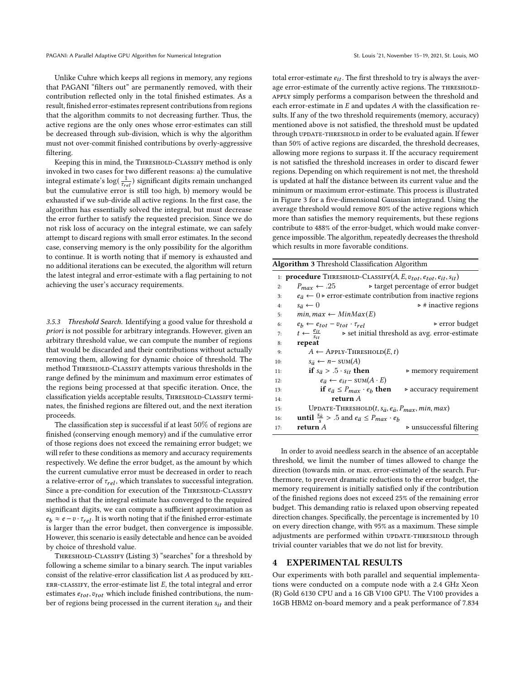Unlike Cuhre which keeps all regions in memory, any regions that PAGANI "filters out" are permanently removed, with their contribution reflected only in the total finished estimates. As a result, finished error-estimates represent contributions from regions that the algorithm commits to not decreasing further. Thus, the active regions are the only ones whose error-estimates can still be decreased through sub-division, which is why the algorithm must not over-commit finished contributions by overly-aggressive filtering.

Keeping this in mind, the THRESHOLD-CLASSIFY method is only invoked in two cases for two different reasons: a) the cumulative integral estimate's  $\log(\frac{1}{\tau_{rel}})$  significant digits remain unchanged but the cumulative error is still too high, b) memory would be exhausted if we sub-divide all active regions. In the first case, the algorithm has essentially solved the integral, but must decrease the error further to satisfy the requested precision. Since we do not risk loss of accuracy on the integral estimate, we can safely attempt to discard regions with small error estimates. In the second case, conserving memory is the only possibility for the algorithm to continue. It is worth noting that if memory is exhausted and no additional iterations can be executed, the algorithm will return the latest integral and error-estimate with a flag pertaining to not achieving the user's accuracy requirements.

3.5.3 Threshold Search. Identifying a good value for threshold a priori is not possible for arbitrary integrands. However, given an arbitrary threshold value, we can compute the number of regions that would be discarded and their contributions without actually removing them, allowing for dynamic choice of threshold. The method Threshold-Classify attempts various thresholds in the range defined by the minimum and maximum error estimates of the regions being processed at that specific iteration. Once, the classification yields acceptable results, THRESHOLD-CLASSIFY terminates, the finished regions are filtered out, and the next iteration proceeds.

The classification step is successful if at least 50% of regions are finished (conserving enough memory) and if the cumulative error of those regions does not exceed the remaining error budget; we will refer to these conditions as memory and accuracy requirements respectively. We define the error budget, as the amount by which the current cumulative error must be decreased in order to reach a relative-error of  $\tau_{rel}$ , which translates to successful integration. Since a pre-condition for execution of the THRESHOLD-CLASSIFY method is that the integral estimate has converged to the required significant digits, we can compute a sufficient approximation as  $e_b \approx e - v \cdot \tau_{rel}$ . It is worth noting that if the finished error-estimate is larger than the error budget, then convergence is impossible. However, this scenario is easily detectable and hence can be avoided by choice of threshold value.

Threshold-Classify (Listing [3\)](#page-6-0) "searches" for a threshold by following a scheme similar to a binary search. The input variables consist of the relative-error classification list  $A$  as produced by REL-ERR-CLASSIFY, the error-estimate list  $E$ , the total integral and error estimates  $e_{tot}$ ,  $v_{tot}$  which include finished contributions, the number of regions being processed in the current iteration  $s_{it}$  and their

total error-estimate  $e_{it}$ . The first threshold to try is always the average error-estimate of the currently active regions. The THRESHOLDapply simply performs a comparison between the threshold and each error-estimate in  $E$  and updates  $A$  with the classification results. If any of the two threshold requirements (memory, accuracy) mentioned above is not satisfied, the threshold must be updated through UPDATE-THRESHOLD in order to be evaluated again. If fewer than 50% of active regions are discarded, the threshold decreases, allowing more regions to surpass it. If the accuracy requirement is not satisfied the threshold increases in order to discard fewer regions. Depending on which requirement is not met, the threshold is updated at half the distance between its current value and the minimum or maximum error-estimate. This process is illustrated in Figure [3](#page-7-0) for a five-dimensional Gaussian integrand. Using the average threshold would remove 80% of the active regions which more than satisfies the memory requirements, but these regions contribute to 488% of the error-budget, which would make convergence impossible. The algorithm, repeatedly decreases the threshold which results in more favorable conditions.

<span id="page-6-0"></span>

| <b>Algorithm 3</b> Threshold Classification Algorithm |                                                                                            |                                                                                     |  |  |  |
|-------------------------------------------------------|--------------------------------------------------------------------------------------------|-------------------------------------------------------------------------------------|--|--|--|
|                                                       | 1: <b>procedure</b> THRESHOLD-CLASSIFY(A, E, $v_{tot}$ , $e_{tot}$ , $e_{it}$ , $s_{it}$ ) |                                                                                     |  |  |  |
| 2:                                                    | $P_{max} \leftarrow .25$                                                                   | $\triangleright$ target percentage of error budget                                  |  |  |  |
| 3:                                                    |                                                                                            | $e_{\bar{a}} \leftarrow 0$ > error-estimate contribution from inactive regions      |  |  |  |
| 4:                                                    | $s_{\bar{a}} \leftarrow 0$                                                                 | $\triangleright$ # inactive regions                                                 |  |  |  |
| 5:                                                    | $min, max \leftarrow MinMax(E)$                                                            |                                                                                     |  |  |  |
| 6:                                                    | $e_b \leftarrow e_{tot} - v_{tot} \cdot \tau_{rel}$                                        | $\triangleright$ error budget                                                       |  |  |  |
| 7:                                                    |                                                                                            | $t \leftarrow \frac{e_{it}}{s_{it}}$ > set initial threshold as avg. error-estimate |  |  |  |
| 8:                                                    | repeat                                                                                     |                                                                                     |  |  |  |
| 9:                                                    | $A \leftarrow$ APPLY-THRESHOLD $(E, t)$                                                    |                                                                                     |  |  |  |
| 10:                                                   | $s_{\bar{a}} \leftarrow n - \text{sum}(A)$                                                 |                                                                                     |  |  |  |
| 11:                                                   | if $s_{\bar{a}} > .5 \cdot s_{it}$ then                                                    | $\triangleright$ memory requirement                                                 |  |  |  |
| 12:                                                   | $e_{\overline{a}} \leftarrow e_{it} - \text{SUM}(A \cdot E)$                               |                                                                                     |  |  |  |
| 13:                                                   | if $e_{\bar{a}} \leq P_{max} \cdot e_b$ then                                               | $\triangleright$ accuracy requirement                                               |  |  |  |
| 14:                                                   | return A                                                                                   |                                                                                     |  |  |  |
| 15:                                                   |                                                                                            | UPDATE-THRESHOLD $(t, s_{\bar{a}}, e_{\bar{a}}, P_{max}, min, max)$                 |  |  |  |
| 16:                                                   | <b>until</b> $\frac{s_{\bar{a}}}{s} > .5$ and $e_{\bar{a}} \leq P_{max} \cdot e_b$         |                                                                                     |  |  |  |
| 17:                                                   | return $A$                                                                                 | $\triangleright$ unsuccessful filtering                                             |  |  |  |

In order to avoid needless search in the absence of an acceptable threshold, we limit the number of times allowed to change the direction (towards min. or max. error-estimate) of the search. Furthermore, to prevent dramatic reductions to the error budget, the memory requirement is initially satisfied only if the contribution of the finished regions does not exceed 25% of the remaining error budget. This demanding ratio is relaxed upon observing repeated direction changes. Specifically, the percentage is incremented by 10 on every direction change, with 95% as a maximum. These simple adjustments are performed within UPDATE-THRESHOLD through trivial counter variables that we do not list for brevity.

#### 4 EXPERIMENTAL RESULTS

Our experiments with both parallel and sequential implementations were conducted on a compute node with a 2.4 GHz Xeon (R) Gold 6130 CPU and a 16 GB V100 GPU. The V100 provides a 16GB HBM2 on-board memory and a peak performance of 7.834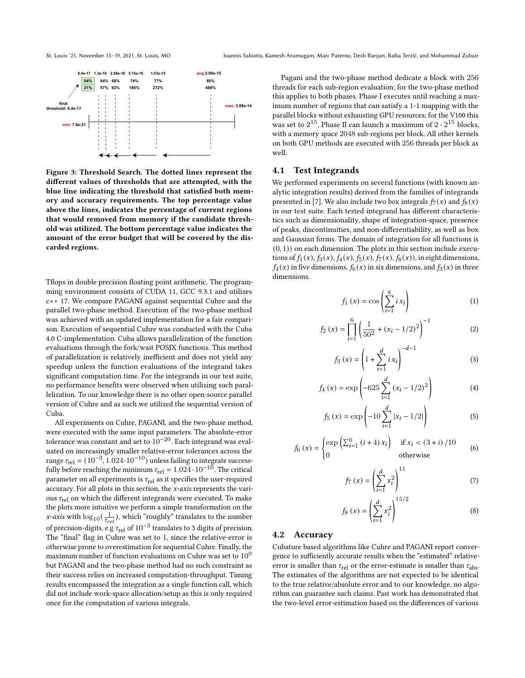<span id="page-7-0"></span>

Figure 3: Threshold Search. The dotted lines represent the different values of thresholds that are attempted, with the blue line indicating the threshold that satisfied both memory and accuracy requirements. The top percentage value above the lines, indicates the percentage of current regions that would removed from memory if the candidate threshold was utilized. The bottom percentage value indicates the amount of the error budget that will be covered by the discarded regions.

Tflops in double precision floating point arithmetic. The programming environment consists of CUDA 11, GCC 9.3.1 and utilizes c++ 17. We compare PAGANI against sequential Cuhre and the parallel two-phase method. Execution of the two-phase method was achieved with an updated implementation for a fair comparison. Execution of sequential Cuhre was conducted with the Cuba 4.0 C-implementation. Cuba allows parallelization of the function evaluations through the fork/wait POSIX functions. This method of parallelization is relatively inefficient and does not yield any speedup unless the function evaluations of the integrand takes significant computation time. For the integrands in our test suite, no performance benefits were observed when utilizing such parallelization. To our knowledge there is no other open-source parallel version of Cuhre and as such we utilized the sequential version of Cuba.

All experiments on Cuhre, PAGANI, and the two-phase method, were executed with the same input parameters. The absolute-error tolerance was constant and set to  $10^{-20}$ . Each integrand was evaluated on increasingly smaller relative-error tolerances across the range  $\tau_{\text{rel}} = (10^{-3}, 1.024 \cdot 10^{-10})$  unless failing to integrate successfully before reaching the minimum  $\tau_{rel} = 1.024 \cdot 10^{-10}$ . The critical parameter on all experiments is  $\tau_{\rm rel}$  as it specifies the user-required accuracy. For all plots in this section, the x-axis represents the various  $\tau_{\text{rel}}$  on which the different integrands were executed. To make the plots more intuitive we perform a simple transformation on the *x*-axis with  $\log_{10}(\frac{1}{\tau_{rel}})$ , which "roughly" translates to the number of precision-digits, e.g  $\tau_{rel}$  of  $10^{-3}$  translates to 3 digits of precision. The "final" flag in Cuhre was set to 1, since the relative-error is otherwise prone to overestimation for sequential Cuhre. Finally, the maximum number of function evaluations on Cuhre was set to  $10<sup>9</sup>$ but PAGANI and the two-phase method had no such constraint as their success relies on increased computation-throughput. Timing results encompassed the integration as a single function call, which did not include work-space allocation/setup as this is only required once for the computation of various integrals.

Pagani and the two-phase method dedicate a block with 256 threads for each sub-region evaluation; for the two-phase method this applies to both phases. Phase I executes until reaching a maximum number of regions that can satisfy a 1-1 mapping with the parallel blocks without exhausting GPU resources; for the V100 this was set to  $2^{15}$ . Phase II can launch a maximum of  $2 \cdot 2^{15}$  blocks, with a memory space 2048 sub-regions per block. All other kernels on both GPU methods are executed with 256 threads per block as well.

#### 4.1 Test Integrands

We performed experiments on several functions (with known analytic integration results) derived from the families of integrands presented in [\[7\]](#page-11-7). We also include two box integrals  $f_7(x)$  and  $f_8(x)$ in our test suite. Each tested integrand has different characteristics such as dimensionality, shape of integration-space, presence of peaks, discontinuities, and non-differentiability, as well as box and Gaussian forms. The domain of integration for all functions is  $(0, 1)$ ) on each dimension. The plots in this section include executions of  $f_1(x)$ ,  $f_3(x)$ ,  $f_4(x)$ ,  $f_5(x)$ ,  $f_7(x)$ ,  $f_8(x)$ ), in eight dimensions,  $f_4(x)$  in five dimensions,  $f_6(x)$  in six dimensions, and  $f_3(x)$  in three dimensions.

$$
f_1(x) = \cos\left(\sum_{i=1}^8 i x_i\right) \tag{1}
$$

$$
f_2(x) = \prod_{i=1}^{6} \left( \frac{1}{50^2} + (x_i - 1/2)^2 \right)^{-1}
$$
 (2)

$$
f_3(x) = \left(1 + \sum_{i=1}^{d} i x_i\right)^{-d-1}
$$
 (3)

$$
f_4(x) = \exp\left(-625 \sum_{i=1}^d (x_i - 1/2)^2\right)
$$
 (4)

$$
f_5(x) = \exp\left(-10\sum_{i=1}^d |x_i - 1/2|\right)
$$
 (5)

$$
f_6(x) = \begin{cases} \exp\left(\sum_{i=1}^{6} (i+4) x_i\right) & \text{if } x_i < (3+i) / 10\\ 0 & \text{otherwise} \end{cases}
$$
 (6)

$$
f_7(x) = \left(\sum_{i=1}^d x_i^2\right)^{11} \tag{7}
$$

$$
f_8(x) = \left(\sum_{i=1}^d x_i^2\right)^{15/2} \tag{8}
$$

#### 4.2 Accuracy

Cubature based algorithms like Cuhre and PAGANI report convergence to sufficiently accurate results when the "estimated" relativeerror is smaller than  $\tau_{rel}$  or the error-estimate is smaller than  $\tau_{abs}$ . The estimates of the algorithms are not expected to be identical to the true relative/absolute error and to our knowledge, no algorithm can guarantee such claims. Past work has demonstrated that the two-level error-estimation based on the differences of various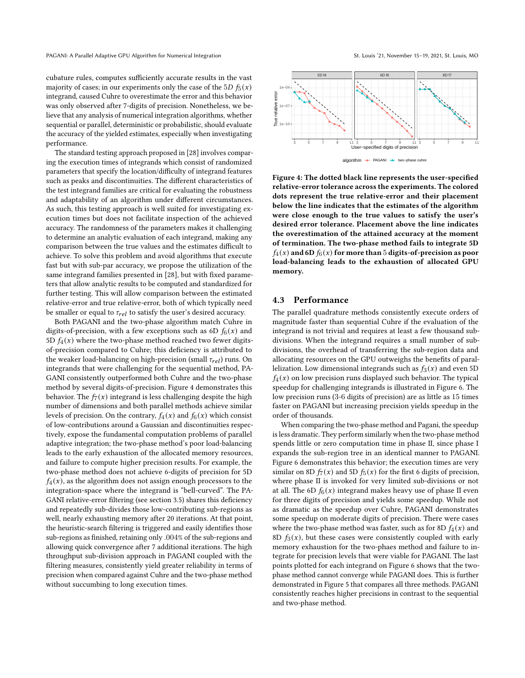cubature rules, computes sufficiently accurate results in the vast majority of cases; in our experiments only the case of the 5D  $f_5(x)$ integrand, caused Cuhre to overestimate the error and this behavior was only observed after 7-digits of precision. Nonetheless, we believe that any analysis of numerical integration algorithms, whether sequential or parallel, deterministic or probabilistic, should evaluate the accuracy of the yielded estimates, especially when investigating performance.

The standard testing approach proposed in [\[28\]](#page-11-28) involves comparing the execution times of integrands which consist of randomized parameters that specify the location/difficulty of integrand features such as peaks and discontinuities. The different characteristics of the test integrand families are critical for evaluating the robustness and adaptability of an algorithm under different circumstances. As such, this testing approach is well suited for investigating execution times but does not facilitate inspection of the achieved accuracy. The randomness of the parameters makes it challenging to determine an analytic evaluation of each integrand, making any comparison between the true values and the estimates difficult to achieve. To solve this problem and avoid algorithms that execute fast but with sub-par accuracy, we propose the utilization of the same integrand families presented in [\[28\]](#page-11-28), but with fixed parameters that allow analytic results to be computed and standardized for further testing. This will allow comparison between the estimated relative-error and true relative-error, both of which typically need be smaller or equal to  $\tau_{rel}$  to satisfy the user's desired accuracy.

Both PAGANI and the two-phase algorithm match Cuhre in digits-of-precision, with a few exceptions such as 6D  $f_6(x)$  and 5D  $f_4(x)$  where the two-phase method reached two fewer digitsof-precision compared to Cuhre; this deficiency is attributed to the weaker load-balancing on high-precision (small  $\tau_{rel}$ ) runs. On integrands that were challenging for the sequential method, PA-GANI consistently outperformed both Cuhre and the two-phase method by several digits-of-precision. Figure [4](#page-8-0) demonstrates this behavior. The  $f_7(x)$  integrand is less challenging despite the high number of dimensions and both parallel methods achieve similar levels of precision. On the contrary,  $f_4(x)$  and  $f_6(x)$  which consist of low-contributions around a Gaussian and discontinuities respectively, expose the fundamental computation problems of parallel adaptive integration; the two-phase method's poor load-balancing leads to the early exhaustion of the allocated memory resources, and failure to compute higher precision results. For example, the two-phase method does not achieve 6-digits of precision for 5D  $f_4(x)$ , as the algorithm does not assign enough processors to the integration-space where the integrand is "bell-curved". The PA-GANI relative-error filtering (see section [3.5\)](#page-5-1) shares this deficiency and repeatedly sub-divides those low-contributing sub-regions as well, nearly exhausting memory after 20 iterations. At that point, the heuristic-search filtering is triggered and easily identifies those sub-regions as finished, retaining only .004% of the sub-regions and allowing quick convergence after 7 additional iterations. The high throughput sub-division approach in PAGANI coupled with the filtering measures, consistently yield greater reliability in terms of precision when compared against Cuhre and the two-phase method without succumbing to long execution times.

<span id="page-8-0"></span>

Figure 4: The dotted black line represents the user-specified relative-error tolerance across the experiments. The colored dots represent the true relative-error and their placement below the line indicates that the estimates of the algorithm were close enough to the true values to satisfy the user's desired error tolerance. Placement above the line indicates the overestimation of the attained accuracy at the moment of termination. The two-phase method fails to integrate 5D  $f_4(x)$  and 6D  $f_6(x)$  for more than 5 digits-of-precision as poor load-balancing leads to the exhaustion of allocated GPU memory.

#### 4.3 Performance

The parallel quadrature methods consistently execute orders of magnitude faster than sequential Cuhre if the evaluation of the integrand is not trivial and requires at least a few thousand subdivisions. When the integrand requires a small number of subdivisions, the overhead of transferring the sub-region data and allocating resources on the GPU outweighs the benefits of parallelization. Low dimensional integrands such as  $f_3(x)$  and even 5D  $f_4(x)$  on low precision runs displayed such behavior. The typical speedup for challenging integrands is illustrated in Figure [6.](#page-9-0) The low precision runs (3-6 digits of precision) are as little as 15 times faster on PAGANI but increasing precision yields speedup in the order of thousands.

When comparing the two-phase method and Pagani, the speedup is less dramatic. They perform similarly when the two-phase method spends little or zero computation time in phase II, since phase I expands the sub-region tree in an identical manner to PAGANI. Figure [6](#page-9-0) demonstrates this behavior; the execution times are very similar on 8D  $f_7(x)$  and 5D  $f_5(x)$  for the first 6 digits of precision, where phase II is invoked for very limited sub-divisions or not at all. The 6D  $f_6(x)$  integrand makes heavy use of phase II even for three digits of precision and yields some speedup. While not as dramatic as the speedup over Cuhre, PAGANI demonstrates some speedup on moderate digits of precision. There were cases where the two-phase method was faster, such as for 8D  $f_4(x)$  and 8D  $f_3(x)$ , but these cases were consistently coupled with early memory exhaustion for the two-phaes method and failure to integrate for precision levels that were viable for PAGANI. The last points plotted for each integrand on Figure [6](#page-9-0) shows that the twophase method cannot converge while PAGANI does. This is further demonstrated in Figure [5](#page-9-1) that compares all three methods. PAGANI consistently reaches higher precisions in contrast to the sequential and two-phase method.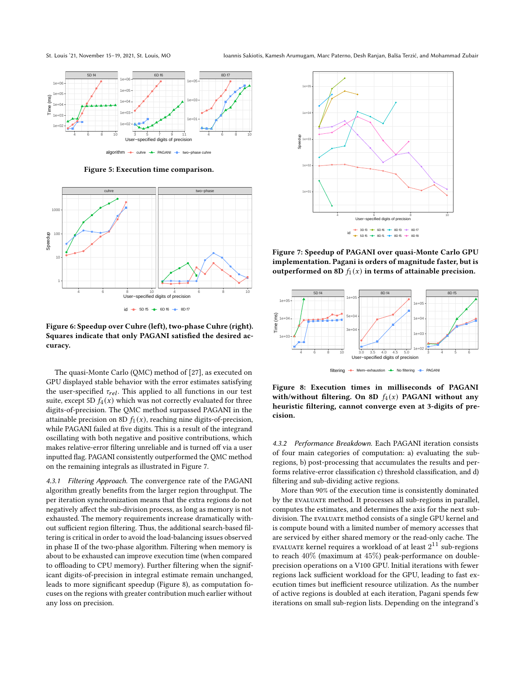St. Louis '21, November 15–19, 2021, St. Louis, MO Ioannis Sakiotis, Kamesh Arumugam, Marc Paterno, Desh Ranjan, Balša Terzić, and Mohammad Zubair

<span id="page-9-1"></span>

Figure 5: Execution time comparison.

<span id="page-9-0"></span>

Figure 6: Speedup over Cuhre (left), two-phase Cuhre (right). Squares indicate that only PAGANI satisfied the desired accuracy.

The quasi-Monte Carlo (QMC) method of [\[27\]](#page-11-27), as executed on GPU displayed stable behavior with the error estimates satisfying the user-specified  $\tau_{rel}$ . This applied to all functions in our test suite, except 5D  $f_4(x)$  which was not correctly evaluated for three digits-of-precision. The QMC method surpassed PAGANI in the attainable precision on 8D  $f_1(x)$ , reaching nine digits-of-precision, while PAGANI failed at five digits. This is a result of the integrand oscillating with both negative and positive contributions, which makes relative-error filtering unreliable and is turned off via a user inputted flag. PAGANI consistently outperformed the QMC method on the remaining integrals as illustrated in Figure [7.](#page-9-2)

4.3.1 Filtering Approach. The convergence rate of the PAGANI algorithm greatly benefits from the larger region throughput. The per iteration synchronization means that the extra regions do not negatively affect the sub-division process, as long as memory is not exhausted. The memory requirements increase dramatically without sufficient region filtering. Thus, the additional search-based filtering is critical in order to avoid the load-balancing issues observed in phase II of the two-phase algorithm. Filtering when memory is about to be exhausted can improve execution time (when compared to offloading to CPU memory). Further filtering when the significant digits-of-precision in integral estimate remain unchanged, leads to more significant speedup (Figure [8\)](#page-9-3), as computation focuses on the regions with greater contribution much earlier without any loss on precision.

<span id="page-9-2"></span>

Figure 7: Speedup of PAGANI over quasi-Monte Carlo GPU implementation. Pagani is orders of magnitude faster, but is outperformed on 8D  $f_1(x)$  in terms of attainable precision.

<span id="page-9-3"></span>

Figure 8: Execution times in milliseconds of PAGANI with/without filtering. On 8D  $f_4(x)$  PAGANI without any heuristic filtering, cannot converge even at 3-digits of precision.

4.3.2 Performance Breakdown. Each PAGANI iteration consists of four main categories of computation: a) evaluating the subregions, b) post-processing that accumulates the results and performs relative-error classification c) threshold classification, and d) filtering and sub-dividing active regions.

More than 90% of the execution time is consistently dominated by the evaluate method. It processes all sub-regions in parallel, computes the estimates, and determines the axis for the next subdivision. The EVALUATE method consists of a single GPU kernel and is compute bound with a limited number of memory accesses that are serviced by either shared memory or the read-only cache. The EVALUATE kernel requires a workload of at least  $2^{11}$  sub-regions to reach 40% (maximum at 45%) peak-performance on doubleprecision operations on a V100 GPU. Initial iterations with fewer regions lack sufficient workload for the GPU, leading to fast execution times but inefficient resource utilization. As the number of active regions is doubled at each iteration, Pagani spends few iterations on small sub-region lists. Depending on the integrand's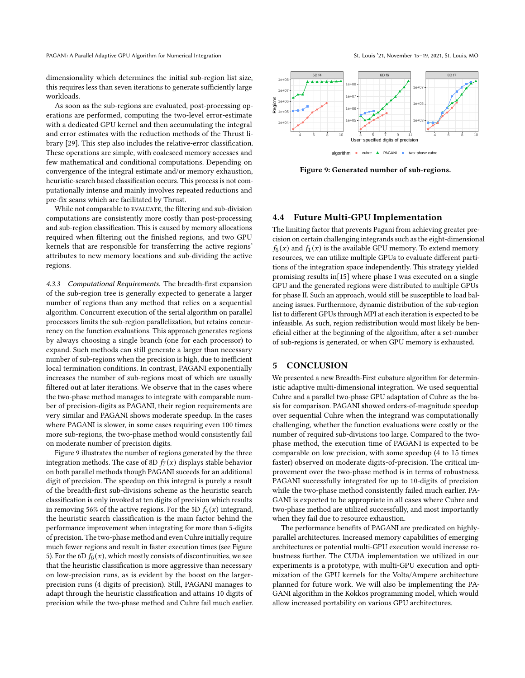PAGANI: A Parallel Adaptive GPU Algorithm for Numerical Integration St. Louis '21, November 15-19, 2021, St. Louis, MO

dimensionality which determines the initial sub-region list size, this requires less than seven iterations to generate sufficiently large workloads.

As soon as the sub-regions are evaluated, post-processing operations are performed, computing the two-level error-estimate with a dedicated GPU kernel and then accumulating the integral and error estimates with the reduction methods of the Thrust library [\[29\]](#page-11-29). This step also includes the relative-error classification. These operations are simple, with coalesced memory accesses and few mathematical and conditional computations. Depending on convergence of the integral estimate and/or memory exhaustion, heuristic-search based classification occurs. This process is not computationally intense and mainly involves repeated reductions and pre-fix scans which are facilitated by Thrust.

While not comparable to EVALUATE, the filtering and sub-division computations are consistently more costly than post-processing and sub-region classification. This is caused by memory allocations required when filtering out the finished regions, and two GPU kernels that are responsible for transferring the active regions' attributes to new memory locations and sub-dividing the active regions.

4.3.3 Computational Requirements. The breadth-first expansion of the sub-region tree is generally expected to generate a larger number of regions than any method that relies on a sequential algorithm. Concurrent execution of the serial algorithm on parallel processors limits the sub-region parallelization, but retains concurrency on the function evaluations. This approach generates regions by always choosing a single branch (one for each processor) to expand. Such methods can still generate a larger than necessary number of sub-regions when the precision is high, due to inefficient local termination conditions. In contrast, PAGANI exponentially increases the number of sub-regions most of which are usually filtered out at later iterations. We observe that in the cases where the two-phase method manages to integrate with comparable number of precision-digits as PAGANI, their region requirements are very similar and PAGANI shows moderate speedup. In the cases where PAGANI is slower, in some cases requiring even 100 times more sub-regions, the two-phase method would consistently fail on moderate number of precision digits.

Figure [9](#page-10-0) illustrates the number of regions generated by the three integration methods. The case of 8D  $f_7(x)$  displays stable behavior on both parallel methods though PAGANI suceeds for an additional digit of precision. The speedup on this integral is purely a result of the breadth-first sub-divisions scheme as the heuristic search classification is only invoked at ten digits of precision which results in removing 56% of the active regions. For the 5D  $f_4(x)$  integrand, the heuristic search classification is the main factor behind the performance improvement when integrating for more than 5-digits of precision. The two-phase method and even Cuhre initially require much fewer regions and result in faster execution times (see Figure [5\)](#page-9-1). For the 6D  $f_6(x)$ , which mostly consists of discontinuities, we see that the heuristic classification is more aggressive than necessary on low-precision runs, as is evident by the boost on the largerprecision runs (4 digits of precision). Still, PAGANI manages to adapt through the heuristic classification and attains 10 digits of precision while the two-phase method and Cuhre fail much earlier.

<span id="page-10-0"></span>

Figure 9: Generated number of sub-regions.

### 4.4 Future Multi-GPU Implementation

The limiting factor that prevents Pagani from achieving greater precision on certain challenging integrands such as the eight-dimensional  $f_5(x)$  and  $f_1(x)$  is the available GPU memory. To extend memory resources, we can utilize multiple GPUs to evaluate different partitions of the integration space independently. This strategy yielded promising results in[\[15\]](#page-11-15) where phase I was executed on a single GPU and the generated regions were distributed to multiple GPUs for phase II. Such an approach, would still be susceptible to load balancing issues. Furthermore, dynamic distribution of the sub-region list to different GPUs through MPI at each iteration is expected to be infeasible. As such, region redistribution would most likely be beneficial either at the beginning of the algorithm, after a set-number of sub-regions is generated, or when GPU memory is exhausted.

#### 5 CONCLUSION

We presented a new Breadth-First cubature algorithm for deterministic adaptive multi-dimensional integration. We used sequential Cuhre and a parallel two-phase GPU adaptation of Cuhre as the basis for comparison. PAGANI showed orders-of-magnitude speedup over sequential Cuhre when the integrand was computationally challenging, whether the function evaluations were costly or the number of required sub-divisions too large. Compared to the twophase method, the execution time of PAGANI is expected to be comparable on low precision, with some speedup (4 to 15 times faster) observed on moderate digits-of-precision. The critical improvement over the two-phase method is in terms of robustness. PAGANI successfully integrated for up to 10-digits of precision while the two-phase method consistently failed much earlier. PA-GANI is expected to be appropriate in all cases where Cuhre and two-phase method are utilized successfully, and most importantly when they fail due to resource exhaustion.

The performance benefits of PAGANI are predicated on highlyparallel architectures. Increased memory capabilities of emerging architectures or potential multi-GPU execution would increase robustness further. The CUDA implementation we utilized in our experiments is a prototype, with multi-GPU execution and optimization of the GPU kernels for the Volta/Ampere architecture planned for future work. We will also be implementing the PA-GANI algorithm in the Kokkos programming model, which would allow increased portability on various GPU architectures.